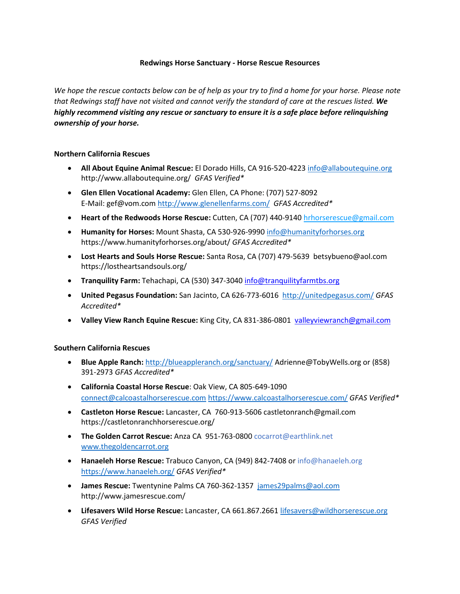## **Redwings Horse Sanctuary - Horse Rescue Resources**

*We hope the rescue contacts below can be of help as your try to find a home for your horse. Please note that Redwings staff have not visited and cannot verify the standard of care at the rescues listed. We highly recommend visiting any rescue or sanctuary to ensure it is a safe place before relinquishing ownership of your horse.*

## **Northern California Rescues**

- **All About Equine Animal Rescue:** El Dorado Hills, CA 916-520-422[3 info@allaboutequine.org](mailto:info@allaboutequine.org) http://www.allaboutequine.org/ *GFAS Verified\**
- **[Glen Ellen Vocational Academy:](http://www.glenellenfarms.com/geva)** Glen Ellen, CA Phone: (707) 527-8092 E-Mail: [gef@vom.com](mailto:gef@vom.com) <http://www.glenellenfarms.com/> *GFAS Accredited\**
- **Heart of the Redwoods Horse Rescue:** Cutten, CA (707) 440-9140 [hrhorserescue@gmail.com](mailto:hrhorserescue@gmail.com)
- **Humanity for Horses:** Mount Shasta, CA 530-926-9990 [info@humanityforhorses.org](mailto:info@humanityforhorses.org) https://www.humanityforhorses.org/about/ *GFAS Accredited\**
- **Lost Hearts and Souls Horse Rescue:** Santa Rosa, CA [\(707\) 479-5639](tel:7074795639) betsybueno@aol.com https://lostheartsandsouls.org/
- **Tranquility Farm:** Tehachapi, CA (530) 347-3040 [info@tranquilityfarmtbs.org](mailto:info@tranquilityfarmtbs.org)
- **United Pegasus Foundation:** San Jacinto, CA 626-773-6016 <http://unitedpegasus.com/> *GFAS Accredited\**
- **Valley View Ranch Equine Rescue:** King City, CA 831-386-0801 [valleyviewranch@gmail.com](mailto:valleyviewranch@gmail.com)

## **Southern California Rescues**

- **Blue Apple Ranch:** <http://blueappleranch.org/sanctuary/> [Adrienne@TobyWells.org](mailto:Adrienne@TobyWells.org) or [\(858\)](tel:+8583912973) [391-2973](tel:+8583912973) *GFAS Accredited\**
- **[California Coastal Horse Rescue](http://www.calcoastalhorserescue.com/)**: Oak View, CA 805-649-1090 [connect@calcoastalhorserescue.com](mailto:connect@calcoastalhorserescue.com) <https://www.calcoastalhorserescue.com/> *GFAS Verified\**
- **Castleton Horse Rescue:** Lancaster, CA 760-913-5606 [castletonranch@gmail.com](mailto:castletonranch@gmail.com) https://castletonranchhorserescue.org/
- **The Golden Carrot Rescue:** Anza CA 951-763-0800 [cocarrot@earthlink.net](mailto:cocarrot@earthlink.net) [www.thegoldencarrot.org](http://www.thegoldencarrot.org/)
- **[Hanaeleh Horse Rescue:](http://www.hanaeleh.org/)** Trabuco Canyon, CA (949) 842-7408 or [info@hanaeleh.org](mailto:info@hanaeleh.org) <https://www.hanaeleh.org/> *GFAS Verified\**
- **James Rescue:** Twentynine Palms CA 760-362-1357 [james29palms@aol.com](mailto:james29palms@aol.com) http://www.jamesrescue.com/
- **Lifesavers Wild Horse Rescue:** Lancaster, CA 661.867.2661 [lifesavers@wildhorserescue.org](mailto:lifesavers@wildhorserescue.org) *GFAS Verified*